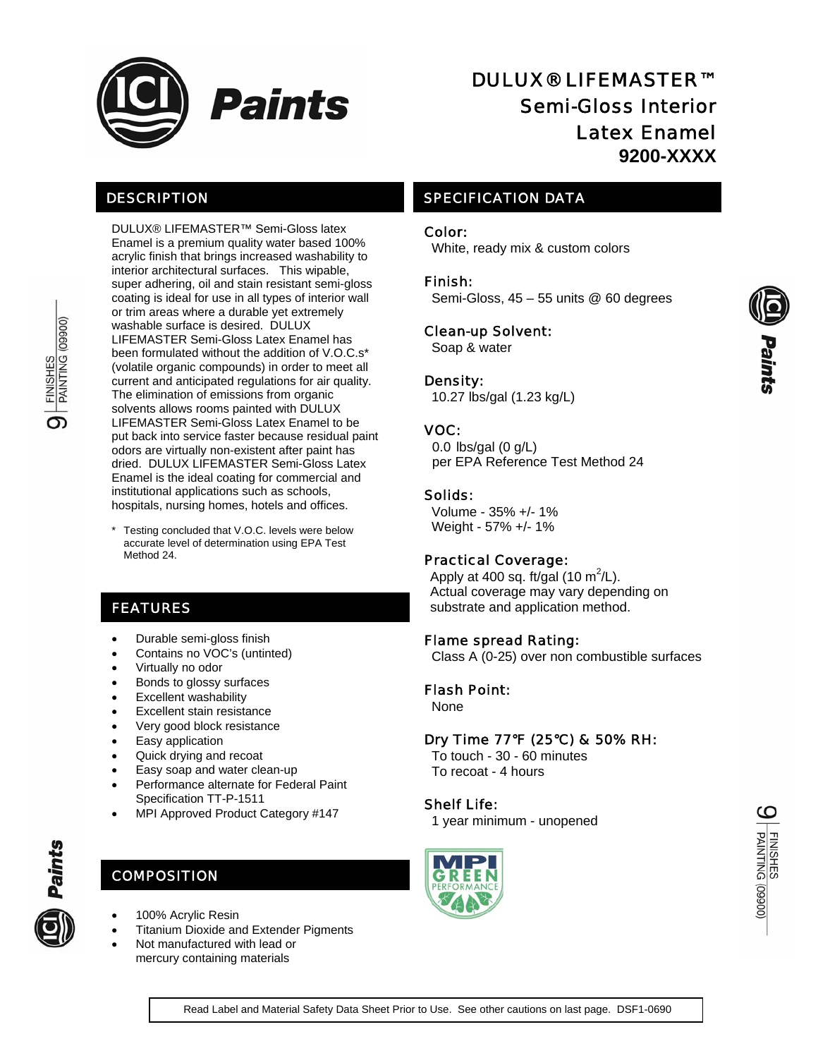

# DESCRIPTION

DULUX® LIFEMASTER™ Semi-Gloss latex Enamel is a premium quality water based 100% acrylic finish that brings increased washability to interior architectural surfaces. This wipable, super adhering, oil and stain resistant semi-gloss coating is ideal for use in all types of interior wall or trim areas where a durable yet extremely washable surface is desired. DULUX LIFEMASTER Semi-Gloss Latex Enamel has been formulated without the addition of V.O.C.s\* (volatile organic compounds) in order to meet all current and anticipated regulations for air quality. The elimination of emissions from organic solvents allows rooms painted with DULUX LIFEMASTER Semi-Gloss Latex Enamel to be put back into service faster because residual paint odors are virtually non-existent after paint has dried. DULUX LIFEMASTER Semi-Gloss Latex Enamel is the ideal coating for commercial and institutional applications such as schools, hospitals, nursing homes, hotels and offices.

\* Testing concluded that V.O.C. levels were below accurate level of determination using EPA Test Method 24.

## FEATURES

- Durable semi-gloss finish
- Contains no VOC's (untinted)
- Virtually no odor
- Bonds to glossy surfaces
- Excellent washability
- Excellent stain resistance
- Very good block resistance
- Easy application
- Quick drying and recoat
- Easy soap and water clean-up
- Performance alternate for Federal Paint Specification TT-P-1511
- MPI Approved Product Category #147

# **COMPOSITION**

- 100% Acrylic Resin
- Titanium Dioxide and Extender Pigments
- Not manufactured with lead or
- mercury containing materials

# DULUX® LIFEMASTER™ Semi-Gloss Interior Latex Enamel **9200-XXXX**

# SPECIFICATION DATA

#### Color:

White, ready mix & custom colors

#### Finish:

Semi-Gloss, 45 – 55 units @ 60 degrees

## Clean-up Solvent:

Soap & water

## Density:

10.27 lbs/gal (1.23 kg/L)

## VOC:

0.0 lbs/gal (0 g/L) per EPA Reference Test Method 24

## Solids:

 Volume - 35% +/- 1% Weight - 57% +/- 1%

## Practical Coverage:

Apply at 400 sq. ft/gal (10 m<sup>2</sup>/L). Actual coverage may vary depending on substrate and application method.

## Flame spread Rating**:**

Class A (0-25) over non combustible surfaces

## Flash Point:

None

## Dry Time 77°F (25°C) & 50% RH:

 To touch - 30 - 60 minutes To recoat - 4 hours

## Shelf Life:

1 year minimum - unopened



## Read Label and Material Safety Data Sheet Prior to Use. See other cautions on last page. DSF1-0690

**Paints**